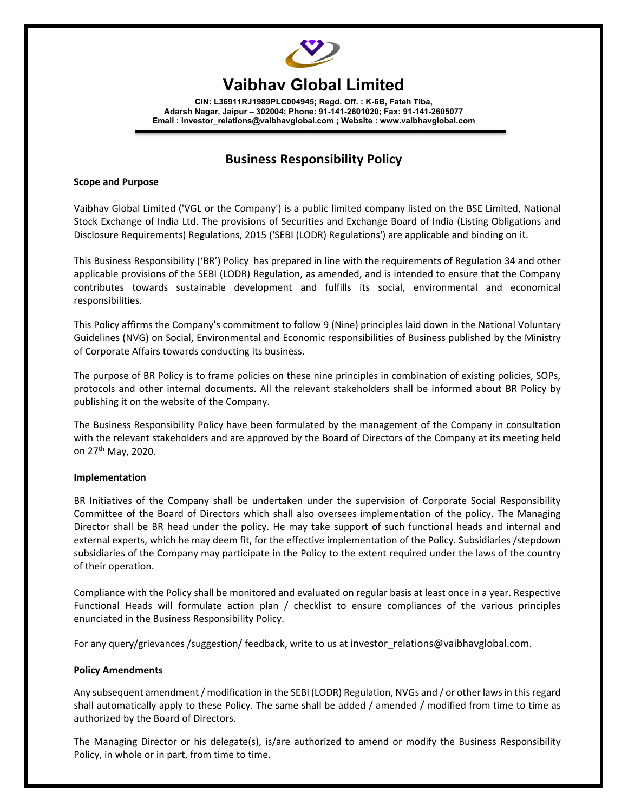

# **Vaibhav Global Limited**

**CIN: L36911RJ1989PLC004945; Regd. Off. : K-6B, Fateh Tiba, Adarsh Nagar, Jaipur – 302004; Phone: 91-141-2601020; Fax: 91-141-2605077 Email : investor\_relations@vaibhavglobal.com ; Website : www.vaibhavglobal.com** 

# **Business Responsibility Policy**

#### **Scope and Purpose**

Vaibhav Global Limited ('VGL or the Company') is a public limited company listed on the BSE Limited, National Stock Exchange of India Ltd. The provisions of Securities and Exchange Board of India (Listing Obligations and Disclosure Requirements) Regulations, 2015 ('SEBI (LODR) Regulations') are applicable and binding on it.

This Business Responsibility ('BR') Policy has prepared in line with the requirements of Regulation 34 and other applicable provisions of the SEBI (LODR) Regulation, as amended, and is intended to ensure that the Company contributes towards sustainable development and fulfills its social, environmental and economical responsibilities.

This Policy affirms the Company's commitment to follow 9 (Nine) principles laid down in the National Voluntary Guidelines (NVG) on Social, Environmental and Economic responsibilities of Business published by the Ministry of Corporate Affairs towards conducting its business.

The purpose of BR Policy is to frame policies on these nine principles in combination of existing policies, SOPs, protocols and other internal documents. All the relevant stakeholders shall be informed about BR Policy by publishing it on the website of the Company.

The Business Responsibility Policy have been formulated by the management of the Company in consultation with the relevant stakeholders and are approved by the Board of Directors of the Company at its meeting held on 27th May, 2020.

# **Implementation**

BR Initiatives of the Company shall be undertaken under the supervision of Corporate Social Responsibility Committee of the Board of Directors which shall also oversees implementation of the policy. The Managing Director shall be BR head under the policy. He may take support of such functional heads and internal and external experts, which he may deem fit, for the effective implementation of the Policy. Subsidiaries /stepdown subsidiaries of the Company may participate in the Policy to the extent required under the laws of the country of their operation.

Compliance with the Policy shall be monitored and evaluated on regular basis at least once in a year. Respective Functional Heads will formulate action plan / checklist to ensure compliances of the various principles enunciated in the Business Responsibility Policy.

For any query/grievances /suggestion/ feedback, write to us at investor relations@vaibhavglobal.com.

#### **Policy Amendments**

Any subsequent amendment / modification in the SEBI (LODR) Regulation, NVGs and / or other laws in this regard shall automatically apply to these Policy. The same shall be added / amended / modified from time to time as authorized by the Board of Directors.

The Managing Director or his delegate(s), is/are authorized to amend or modify the Business Responsibility Policy, in whole or in part, from time to time.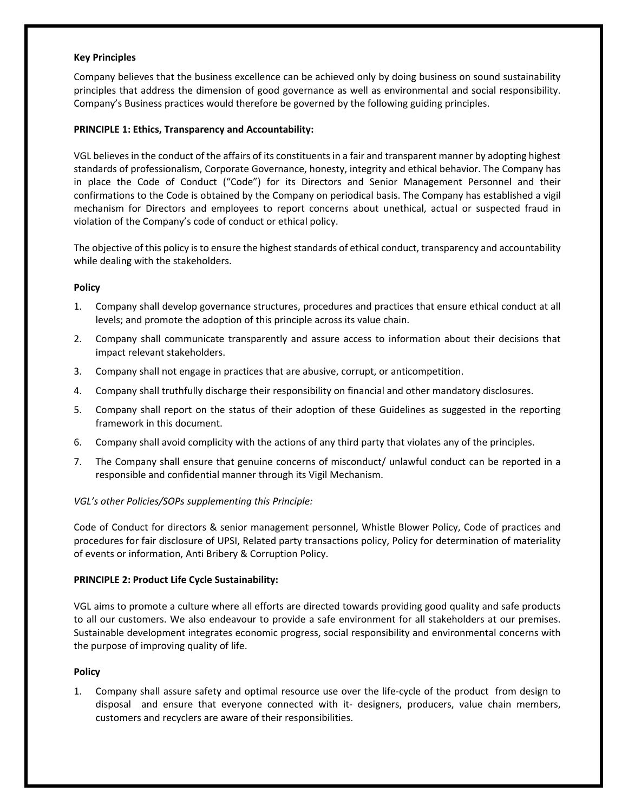#### **Key Principles**

Company believes that the business excellence can be achieved only by doing business on sound sustainability principles that address the dimension of good governance as well as environmental and social responsibility. Company's Business practices would therefore be governed by the following guiding principles.

#### **PRINCIPLE 1: Ethics, Transparency and Accountability:**

VGL believes in the conduct of the affairs of its constituents in a fair and transparent manner by adopting highest standards of professionalism, Corporate Governance, honesty, integrity and ethical behavior. The Company has in place the Code of Conduct ("Code") for its Directors and Senior Management Personnel and their confirmations to the Code is obtained by the Company on periodical basis. The Company has established a vigil mechanism for Directors and employees to report concerns about unethical, actual or suspected fraud in violation of the Company's code of conduct or ethical policy.

The objective of this policy is to ensure the highest standards of ethical conduct, transparency and accountability while dealing with the stakeholders.

#### **Policy**

- 1. Company shall develop governance structures, procedures and practices that ensure ethical conduct at all levels; and promote the adoption of this principle across its value chain.
- 2. Company shall communicate transparently and assure access to information about their decisions that impact relevant stakeholders.
- 3. Company shall not engage in practices that are abusive, corrupt, or anticompetition.
- 4. Company shall truthfully discharge their responsibility on financial and other mandatory disclosures.
- 5. Company shall report on the status of their adoption of these Guidelines as suggested in the reporting framework in this document.
- 6. Company shall avoid complicity with the actions of any third party that violates any of the principles.
- 7. The Company shall ensure that genuine concerns of misconduct/ unlawful conduct can be reported in a responsible and confidential manner through its Vigil Mechanism.

#### *VGL's other Policies/SOPs supplementing this Principle:*

Code of Conduct for directors & senior management personnel, Whistle Blower Policy, Code of practices and procedures for fair disclosure of UPSI, Related party transactions policy, Policy for determination of materiality of events or information, Anti Bribery & Corruption Policy.

#### **PRINCIPLE 2: Product Life Cycle Sustainability:**

VGL aims to promote a culture where all efforts are directed towards providing good quality and safe products to all our customers. We also endeavour to provide a safe environment for all stakeholders at our premises. Sustainable development integrates economic progress, social responsibility and environmental concerns with the purpose of improving quality of life.

#### **Policy**

1. Company shall assure safety and optimal resource use over the life‐cycle of the product from design to disposal and ensure that everyone connected with it- designers, producers, value chain members, customers and recyclers are aware of their responsibilities.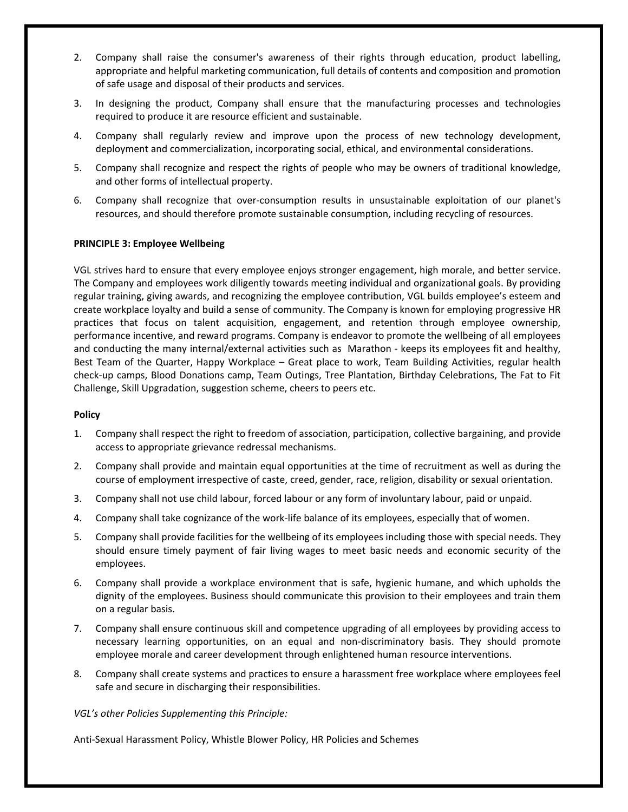- 2. Company shall raise the consumer's awareness of their rights through education, product labelling, appropriate and helpful marketing communication, full details of contents and composition and promotion of safe usage and disposal of their products and services.
- 3. In designing the product, Company shall ensure that the manufacturing processes and technologies required to produce it are resource efficient and sustainable.
- 4. Company shall regularly review and improve upon the process of new technology development, deployment and commercialization, incorporating social, ethical, and environmental considerations.
- 5. Company shall recognize and respect the rights of people who may be owners of traditional knowledge, and other forms of intellectual property.
- 6. Company shall recognize that over‐consumption results in unsustainable exploitation of our planet's resources, and should therefore promote sustainable consumption, including recycling of resources.

#### **PRINCIPLE 3: Employee Wellbeing**

VGL strives hard to ensure that every employee enjoys stronger engagement, high morale, and better service. The Company and employees work diligently towards meeting individual and organizational goals. By providing regular training, giving awards, and recognizing the employee contribution, VGL builds employee's esteem and create workplace loyalty and build a sense of community. The Company is known for employing progressive HR practices that focus on talent acquisition, engagement, and retention through employee ownership, performance incentive, and reward programs. Company is endeavor to promote the wellbeing of all employees and conducting the many internal/external activities such as Marathon ‐ keeps its employees fit and healthy, Best Team of the Quarter, Happy Workplace – Great place to work, Team Building Activities, regular health check‐up camps, Blood Donations camp, Team Outings, Tree Plantation, Birthday Celebrations, The Fat to Fit Challenge, Skill Upgradation, suggestion scheme, cheers to peers etc.

#### **Policy**

- 1. Company shall respect the right to freedom of association, participation, collective bargaining, and provide access to appropriate grievance redressal mechanisms.
- 2. Company shall provide and maintain equal opportunities at the time of recruitment as well as during the course of employment irrespective of caste, creed, gender, race, religion, disability or sexual orientation.
- 3. Company shall not use child labour, forced labour or any form of involuntary labour, paid or unpaid.
- 4. Company shall take cognizance of the work-life balance of its employees, especially that of women.
- 5. Company shall provide facilities for the wellbeing of its employees including those with special needs. They should ensure timely payment of fair living wages to meet basic needs and economic security of the employees.
- 6. Company shall provide a workplace environment that is safe, hygienic humane, and which upholds the dignity of the employees. Business should communicate this provision to their employees and train them on a regular basis.
- 7. Company shall ensure continuous skill and competence upgrading of all employees by providing access to necessary learning opportunities, on an equal and non‐discriminatory basis. They should promote employee morale and career development through enlightened human resource interventions.
- 8. Company shall create systems and practices to ensure a harassment free workplace where employees feel safe and secure in discharging their responsibilities.

*VGL's other Policies Supplementing this Principle:*

Anti‐Sexual Harassment Policy, Whistle Blower Policy, HR Policies and Schemes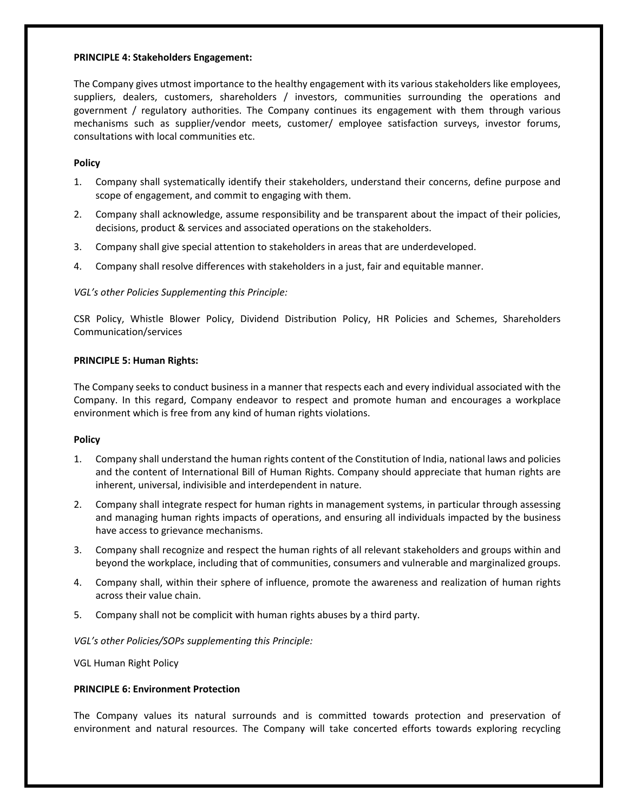#### **PRINCIPLE 4: Stakeholders Engagement:**

The Company gives utmost importance to the healthy engagement with its various stakeholders like employees, suppliers, dealers, customers, shareholders / investors, communities surrounding the operations and government / regulatory authorities. The Company continues its engagement with them through various mechanisms such as supplier/vendor meets, customer/ employee satisfaction surveys, investor forums, consultations with local communities etc.

#### **Policy**

- 1. Company shall systematically identify their stakeholders, understand their concerns, define purpose and scope of engagement, and commit to engaging with them.
- 2. Company shall acknowledge, assume responsibility and be transparent about the impact of their policies, decisions, product & services and associated operations on the stakeholders.
- 3. Company shall give special attention to stakeholders in areas that are underdeveloped.
- 4. Company shall resolve differences with stakeholders in a just, fair and equitable manner.

# *VGL's other Policies Supplementing this Principle:*

CSR Policy, Whistle Blower Policy, Dividend Distribution Policy, HR Policies and Schemes, Shareholders Communication/services

#### **PRINCIPLE 5: Human Rights:**

The Company seeks to conduct business in a manner that respects each and every individual associated with the Company. In this regard, Company endeavor to respect and promote human and encourages a workplace environment which is free from any kind of human rights violations.

#### **Policy**

- 1. Company shall understand the human rights content of the Constitution of India, national laws and policies and the content of International Bill of Human Rights. Company should appreciate that human rights are inherent, universal, indivisible and interdependent in nature.
- 2. Company shall integrate respect for human rights in management systems, in particular through assessing and managing human rights impacts of operations, and ensuring all individuals impacted by the business have access to grievance mechanisms.
- 3. Company shall recognize and respect the human rights of all relevant stakeholders and groups within and beyond the workplace, including that of communities, consumers and vulnerable and marginalized groups.
- 4. Company shall, within their sphere of influence, promote the awareness and realization of human rights across their value chain.
- 5. Company shall not be complicit with human rights abuses by a third party.

*VGL's other Policies/SOPs supplementing this Principle:*

VGL Human Right Policy

#### **PRINCIPLE 6: Environment Protection**

The Company values its natural surrounds and is committed towards protection and preservation of environment and natural resources. The Company will take concerted efforts towards exploring recycling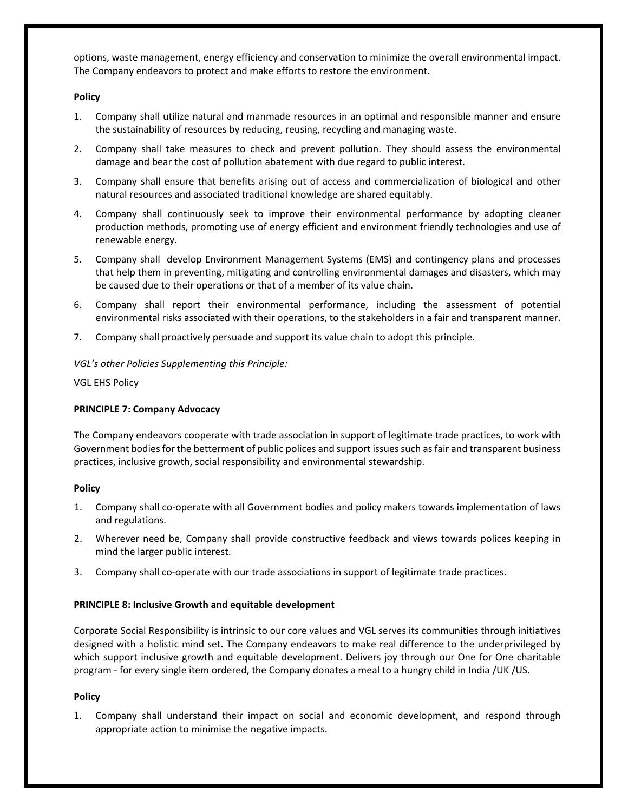options, waste management, energy efficiency and conservation to minimize the overall environmental impact. The Company endeavors to protect and make efforts to restore the environment.

# **Policy**

- 1. Company shall utilize natural and manmade resources in an optimal and responsible manner and ensure the sustainability of resources by reducing, reusing, recycling and managing waste.
- 2. Company shall take measures to check and prevent pollution. They should assess the environmental damage and bear the cost of pollution abatement with due regard to public interest.
- 3. Company shall ensure that benefits arising out of access and commercialization of biological and other natural resources and associated traditional knowledge are shared equitably.
- 4. Company shall continuously seek to improve their environmental performance by adopting cleaner production methods, promoting use of energy efficient and environment friendly technologies and use of renewable energy.
- 5. Company shall develop Environment Management Systems (EMS) and contingency plans and processes that help them in preventing, mitigating and controlling environmental damages and disasters, which may be caused due to their operations or that of a member of its value chain.
- 6. Company shall report their environmental performance, including the assessment of potential environmental risks associated with their operations, to the stakeholders in a fair and transparent manner.
- 7. Company shall proactively persuade and support its value chain to adopt this principle.

# *VGL's other Policies Supplementing this Principle:*

VGL EHS Policy

# **PRINCIPLE 7: Company Advocacy**

The Company endeavors cooperate with trade association in support of legitimate trade practices, to work with Government bodies for the betterment of public polices and support issues such as fair and transparent business practices, inclusive growth, social responsibility and environmental stewardship.

#### **Policy**

- 1. Company shall co-operate with all Government bodies and policy makers towards implementation of laws and regulations.
- 2. Wherever need be, Company shall provide constructive feedback and views towards polices keeping in mind the larger public interest.
- 3. Company shall co-operate with our trade associations in support of legitimate trade practices.

#### **PRINCIPLE 8: Inclusive Growth and equitable development**

Corporate Social Responsibility is intrinsic to our core values and VGL serves its communities through initiatives designed with a holistic mind set. The Company endeavors to make real difference to the underprivileged by which support inclusive growth and equitable development. Delivers joy through our One for One charitable program ‐ for every single item ordered, the Company donates a meal to a hungry child in India /UK /US.

#### **Policy**

1. Company shall understand their impact on social and economic development, and respond through appropriate action to minimise the negative impacts.